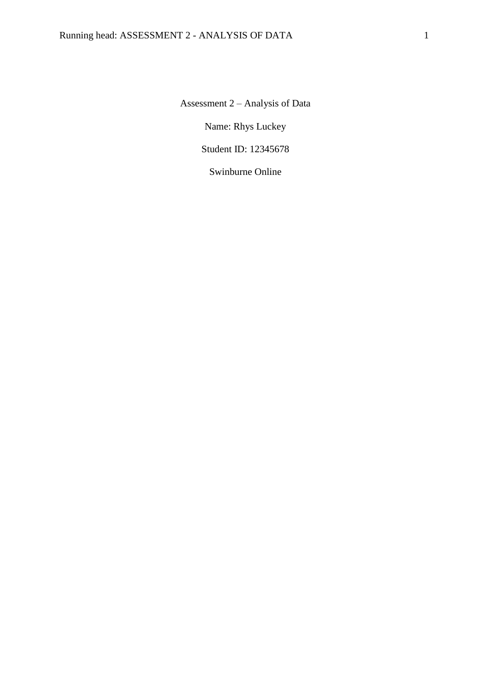Assessment 2 – Analysis of Data

Name: Rhys Luckey

Student ID: 12345678

Swinburne Online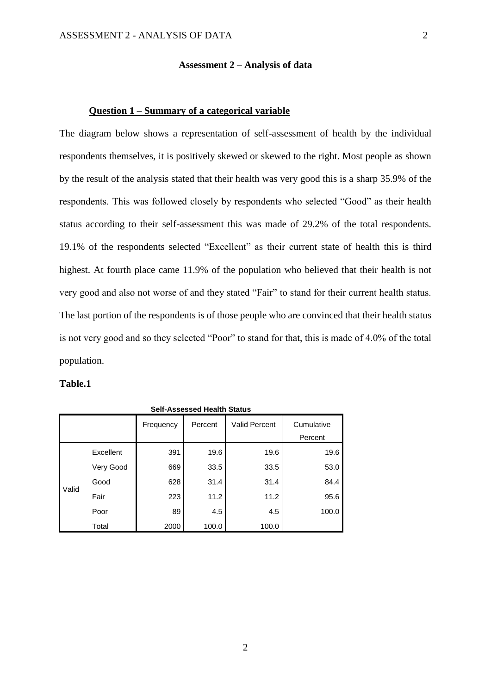#### **Assessment 2 – Analysis of data**

#### **Question 1 – Summary of a categorical variable**

The diagram below shows a representation of self-assessment of health by the individual respondents themselves, it is positively skewed or skewed to the right. Most people as shown by the result of the analysis stated that their health was very good this is a sharp 35.9% of the respondents. This was followed closely by respondents who selected "Good" as their health status according to their self-assessment this was made of 29.2% of the total respondents. 19.1% of the respondents selected "Excellent" as their current state of health this is third highest. At fourth place came 11.9% of the population who believed that their health is not very good and also not worse of and they stated "Fair" to stand for their current health status. The last portion of the respondents is of those people who are convinced that their health status is not very good and so they selected "Poor" to stand for that, this is made of 4.0% of the total population.

|       |           | Frequency | Percent | Valid Percent | Cumulative |  |  |  |
|-------|-----------|-----------|---------|---------------|------------|--|--|--|
|       |           |           |         |               | Percent    |  |  |  |
| Valid | Excellent | 391       | 19.6    | 19.6          | 19.6       |  |  |  |
|       | Very Good | 669       | 33.5    | 33.5          | 53.0       |  |  |  |
|       | Good      | 628       | 31.4    | 31.4          | 84.4       |  |  |  |
|       | Fair      | 223       | 11.2    | 11.2          | 95.6       |  |  |  |
|       | Poor      | 89        | 4.5     | 4.5           | 100.0      |  |  |  |
|       | Total     | 2000      | 100.0   | 100.0         |            |  |  |  |

**Self-Assessed Health Status**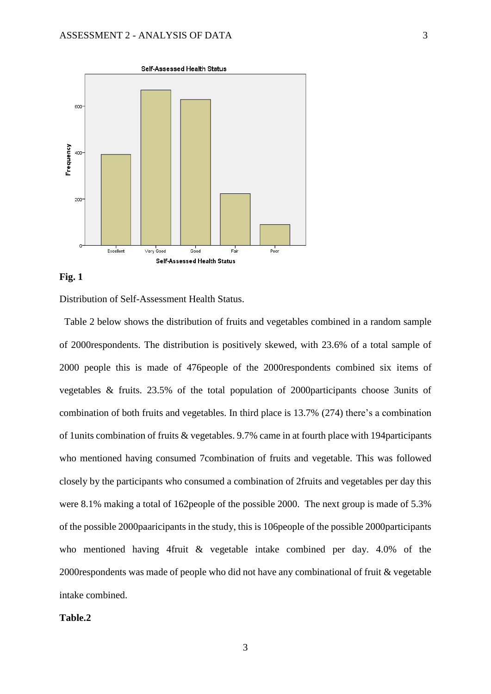



Distribution of Self-Assessment Health Status.

Table 2 below shows the distribution of fruits and vegetables combined in a random sample of 2000respondents. The distribution is positively skewed, with 23.6% of a total sample of 2000 people this is made of 476people of the 2000respondents combined six items of vegetables & fruits. 23.5% of the total population of 2000participants choose 3units of combination of both fruits and vegetables. In third place is 13.7% (274) there's a combination of 1units combination of fruits & vegetables. 9.7% came in at fourth place with 194participants who mentioned having consumed 7combination of fruits and vegetable. This was followed closely by the participants who consumed a combination of 2fruits and vegetables per day this were 8.1% making a total of 162people of the possible 2000. The next group is made of 5.3% of the possible 2000paaricipants in the study, this is 106people of the possible 2000participants who mentioned having 4fruit & vegetable intake combined per day. 4.0% of the 2000respondents was made of people who did not have any combinational of fruit & vegetable intake combined.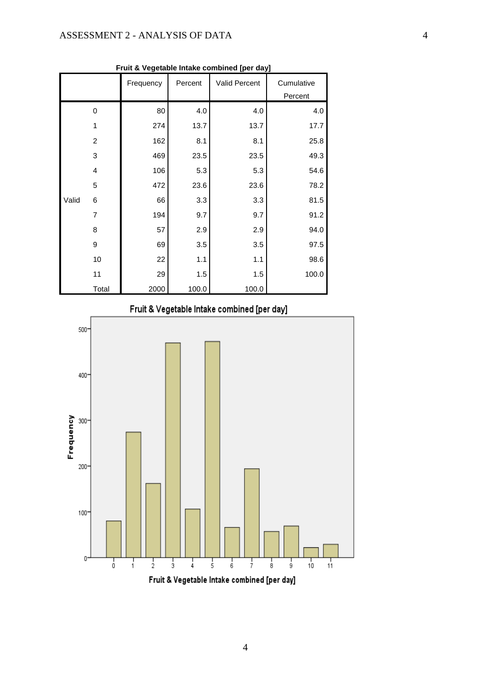|       |                | Frequency | Percent | <b>Valid Percent</b> | Cumulative |
|-------|----------------|-----------|---------|----------------------|------------|
|       |                |           |         |                      | Percent    |
|       | 0              | 80        | 4.0     | 4.0                  | 4.0        |
|       | 1              | 274       | 13.7    | 13.7                 | 17.7       |
|       | $\overline{c}$ | 162       | 8.1     | 8.1                  | 25.8       |
|       | 3              | 469       | 23.5    | 23.5                 | 49.3       |
|       | 4              | 106       | 5.3     | 5.3                  | 54.6       |
|       | 5              | 472       | 23.6    | 23.6                 | 78.2       |
| Valid | 6              | 66        | 3.3     | 3.3                  | 81.5       |
|       | $\overline{7}$ | 194       | 9.7     | 9.7                  | 91.2       |
|       | 8              | 57        | 2.9     | 2.9                  | 94.0       |
|       | 9              | 69        | 3.5     | 3.5                  | 97.5       |
|       | 10             | 22        | 1.1     | 1.1                  | 98.6       |
|       | 11             | 29        | 1.5     | 1.5                  | 100.0      |
|       | Total          | 2000      | 100.0   | 100.0                |            |

**Fruit & Vegetable Intake combined [per day]**



Fruit & Vegetable Intake combined [per day]

Fruit & Vegetable Intake combined [per day]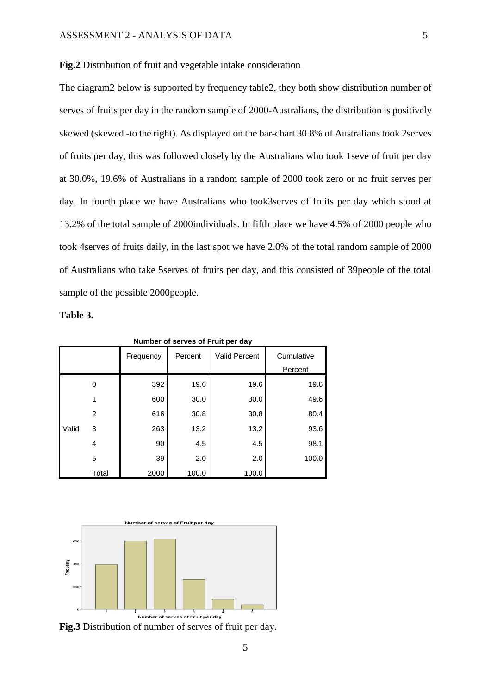#### **Fig.2** Distribution of fruit and vegetable intake consideration

The diagram2 below is supported by frequency table2, they both show distribution number of serves of fruits per day in the random sample of 2000-Australians, the distribution is positively skewed (skewed -to the right). As displayed on the bar-chart 30.8% of Australians took 2serves of fruits per day, this was followed closely by the Australians who took 1seve of fruit per day at 30.0%, 19.6% of Australians in a random sample of 2000 took zero or no fruit serves per day. In fourth place we have Australians who took3serves of fruits per day which stood at 13.2% of the total sample of 2000individuals. In fifth place we have 4.5% of 2000 people who took 4serves of fruits daily, in the last spot we have 2.0% of the total random sample of 2000 of Australians who take 5serves of fruits per day, and this consisted of 39people of the total sample of the possible 2000people.

#### **Table 3.**

|       | <b>NUTTIVEL OF SELVES OF FIGHT DEL GAY</b> |           |         |                      |            |  |  |  |
|-------|--------------------------------------------|-----------|---------|----------------------|------------|--|--|--|
|       |                                            | Frequency | Percent | <b>Valid Percent</b> | Cumulative |  |  |  |
|       |                                            |           |         |                      | Percent    |  |  |  |
|       | 0                                          | 392       | 19.6    | 19.6                 | 19.6       |  |  |  |
| Valid | 1                                          | 600       | 30.0    | 30.0                 | 49.6       |  |  |  |
|       | $\overline{2}$                             | 616       | 30.8    | 30.8                 | 80.4       |  |  |  |
|       | 3                                          | 263       | 13.2    | 13.2                 | 93.6       |  |  |  |
|       | 4                                          | 90        | 4.5     | 4.5                  | 98.1       |  |  |  |
|       | 5                                          | 39        | 2.0     | 2.0                  | 100.0      |  |  |  |
|       | Total                                      | 2000      | 100.0   | 100.0                |            |  |  |  |

**Number of serves of Fruit per day**



**Fig.3** Distribution of number of serves of fruit per day.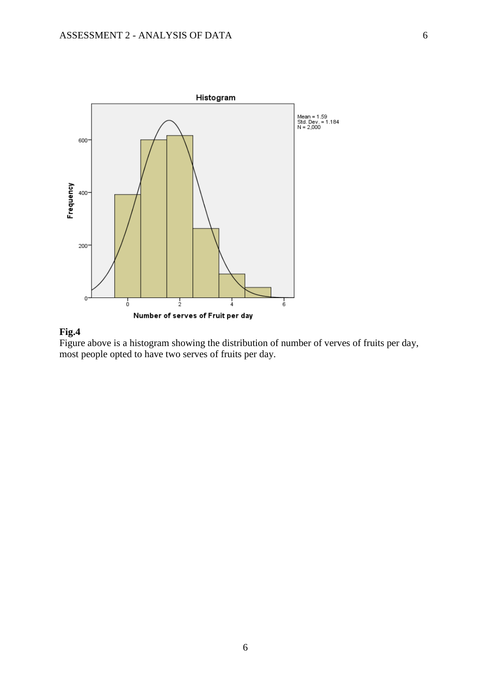

# **Fig.4**

Figure above is a histogram showing the distribution of number of verves of fruits per day, most people opted to have two serves of fruits per day.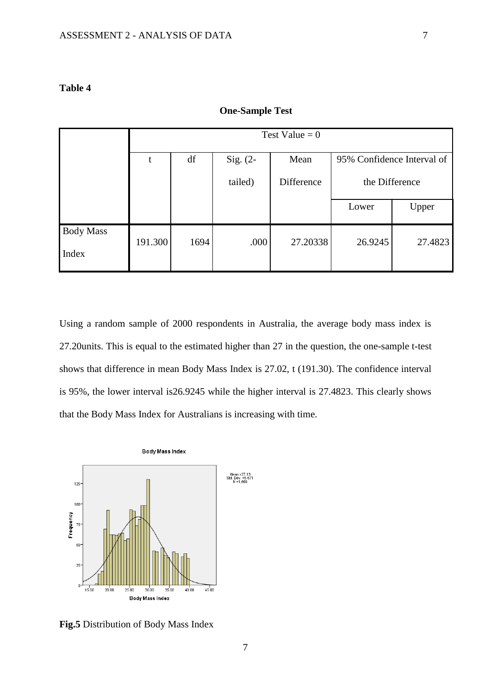## **Table 4**

|                           | Test Value = $0$ |      |          |            |         |                            |  |
|---------------------------|------------------|------|----------|------------|---------|----------------------------|--|
|                           | t                | df   | Sig. (2- | Mean       |         | 95% Confidence Interval of |  |
|                           |                  |      | tailed)  | Difference |         | the Difference             |  |
|                           |                  |      |          |            | Lower   | Upper                      |  |
| <b>Body Mass</b><br>Index | 191.300          | 1694 | .000     | 27.20338   | 26.9245 | 27.4823                    |  |

# **One-Sample Test**

Using a random sample of 2000 respondents in Australia, the average body mass index is 27.20units. This is equal to the estimated higher than 27 in the question, the one-sample t-test shows that difference in mean Body Mass Index is 27.02, t (191.30). The confidence interval is 95%, the lower interval is26.9245 while the higher interval is 27.4823. This clearly shows that the Body Mass Index for Australians is increasing with time.



**Fig.5** Distribution of Body Mass Index

7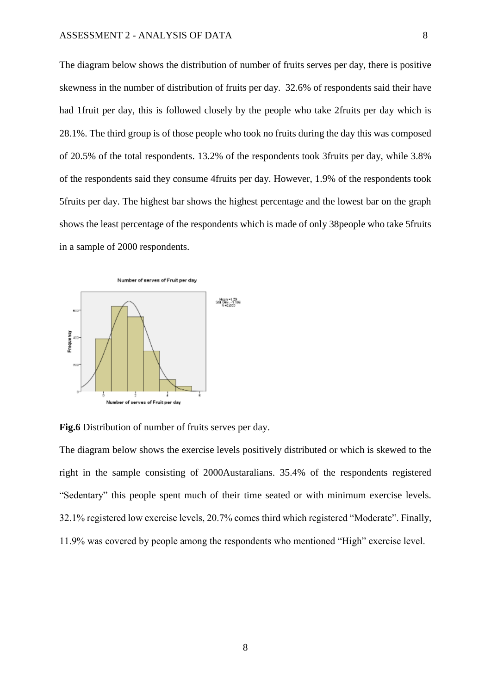The diagram below shows the distribution of number of fruits serves per day, there is positive skewness in the number of distribution of fruits per day. 32.6% of respondents said their have had 1fruit per day, this is followed closely by the people who take 2fruits per day which is 28.1%. The third group is of those people who took no fruits during the day this was composed of 20.5% of the total respondents. 13.2% of the respondents took 3fruits per day, while 3.8% of the respondents said they consume 4fruits per day. However, 1.9% of the respondents took 5fruits per day. The highest bar shows the highest percentage and the lowest bar on the graph shows the least percentage of the respondents which is made of only 38people who take 5fruits in a sample of 2000 respondents.



**Fig.6** Distribution of number of fruits serves per day.

The diagram below shows the exercise levels positively distributed or which is skewed to the right in the sample consisting of 2000Austaralians. 35.4% of the respondents registered "Sedentary" this people spent much of their time seated or with minimum exercise levels. 32.1% registered low exercise levels, 20.7% comes third which registered "Moderate". Finally, 11.9% was covered by people among the respondents who mentioned "High" exercise level.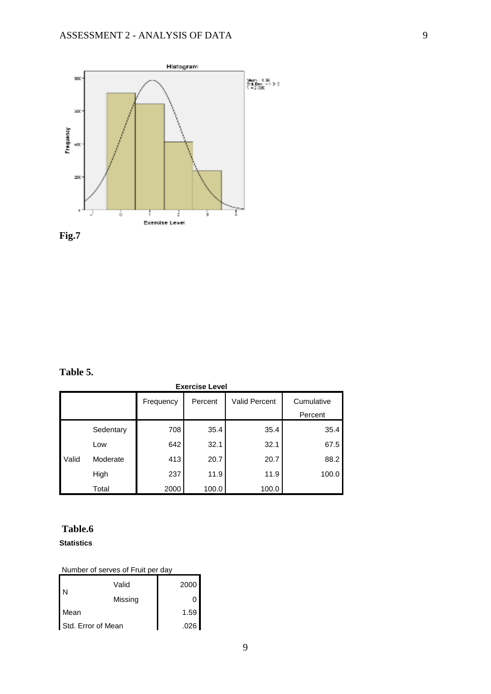



# **Table 5.**

#### **Exercise Level**

|       |           | Frequency | Percent | <b>Valid Percent</b> | Cumulative<br>Percent |
|-------|-----------|-----------|---------|----------------------|-----------------------|
|       | Sedentary | 708       | 35.4    | 35.4                 | 35.4                  |
|       | Low       | 642       | 32.1    | 32.1                 | 67.5                  |
| Valid | Moderate  | 413       | 20.7    | 20.7                 | 88.2                  |
|       | High      | 237       | 11.9    | 11.9                 | 100.0                 |
|       | Total     | 2000      | 100.0   | 100.0                |                       |

# **Table.6**

**Statistics**

Number of serves of Fruit per day

| Ν                  | Valid   | 2000 |
|--------------------|---------|------|
|                    | Missing |      |
| Mean               |         | 1.59 |
| Std. Error of Mean | .026    |      |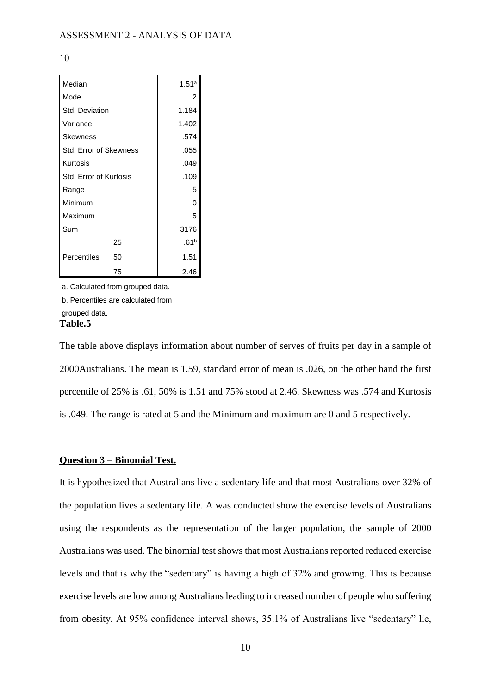| Median                 | 1.51a |                  |
|------------------------|-------|------------------|
| Mode                   | 2     |                  |
| <b>Std. Deviation</b>  |       | 1.184            |
| Variance               |       | 1.402            |
| Skewness               |       | .574             |
| Std. Error of Skewness | .055  |                  |
| Kurtosis               | .049  |                  |
| Std. Error of Kurtosis |       | .109             |
| Range                  |       | 5                |
| Minimum                |       | 0                |
| Maximum                |       | 5                |
| Sum                    |       | 3176             |
|                        | 25    | .61 <sup>b</sup> |
| Percentiles            | 50    | 1.51             |
|                        | 75    | 2.46             |

a. Calculated from grouped data. b. Percentiles are calculated from

grouped data.

#### **Table.5**

The table above displays information about number of serves of fruits per day in a sample of 2000Australians. The mean is 1.59, standard error of mean is .026, on the other hand the first percentile of 25% is .61, 50% is 1.51 and 75% stood at 2.46. Skewness was .574 and Kurtosis is .049. The range is rated at 5 and the Minimum and maximum are 0 and 5 respectively.

#### **Question 3 – Binomial Test.**

It is hypothesized that Australians live a sedentary life and that most Australians over 32% of the population lives a sedentary life. A was conducted show the exercise levels of Australians using the respondents as the representation of the larger population, the sample of 2000 Australians was used. The binomial test shows that most Australians reported reduced exercise levels and that is why the "sedentary" is having a high of 32% and growing. This is because exercise levels are low among Australians leading to increased number of people who suffering from obesity. At 95% confidence interval shows, 35.1% of Australians live "sedentary" lie,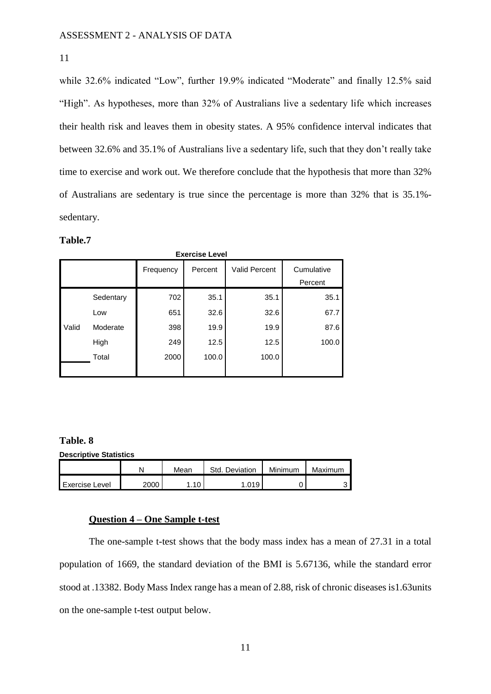while 32.6% indicated "Low", further 19.9% indicated "Moderate" and finally 12.5% said "High". As hypotheses, more than 32% of Australians live a sedentary life which increases their health risk and leaves them in obesity states. A 95% confidence interval indicates that between 32.6% and 35.1% of Australians live a sedentary life, such that they don't really take time to exercise and work out. We therefore conclude that the hypothesis that more than 32% of Australians are sedentary is true since the percentage is more than 32% that is 35.1% sedentary.

| mı<br>н |  |
|---------|--|
|---------|--|

| <b>Exercise Level</b> |                                              |      |       |       |            |  |  |  |
|-----------------------|----------------------------------------------|------|-------|-------|------------|--|--|--|
|                       | <b>Valid Percent</b><br>Percent<br>Frequency |      |       |       | Cumulative |  |  |  |
|                       |                                              |      |       |       | Percent    |  |  |  |
|                       | Sedentary                                    | 702  | 35.1  | 35.1  | 35.1       |  |  |  |
| Valid                 | Low                                          | 651  | 32.6  | 32.6  | 67.7       |  |  |  |
|                       | Moderate                                     | 398  | 19.9  | 19.9  | 87.6       |  |  |  |
|                       | High                                         | 249  | 12.5  | 12.5  | 100.0      |  |  |  |
|                       | Total                                        | 2000 | 100.0 | 100.0 |            |  |  |  |
|                       |                                              |      |       |       |            |  |  |  |

# **Table. 8**

**Descriptive Statistics**

|                |      | Mean | Std. Deviation | Minimum | Maximum |
|----------------|------|------|----------------|---------|---------|
| Exercise Level | 2000 | .10  | .019           |         |         |

## **Question 4 – One Sample t-test**

The one-sample t-test shows that the body mass index has a mean of 27.31 in a total population of 1669, the standard deviation of the BMI is 5.67136, while the standard error stood at .13382. Body Mass Index range has a mean of 2.88, risk of chronic diseases is1.63units on the one-sample t-test output below.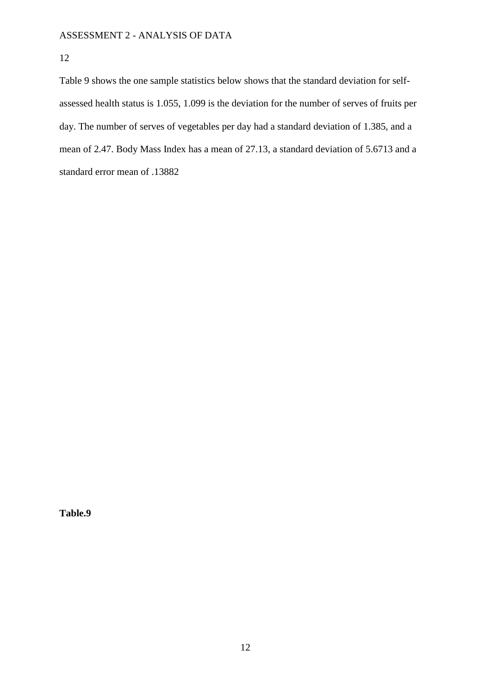Table 9 shows the one sample statistics below shows that the standard deviation for selfassessed health status is 1.055, 1.099 is the deviation for the number of serves of fruits per day. The number of serves of vegetables per day had a standard deviation of 1.385, and a mean of 2.47. Body Mass Index has a mean of 27.13, a standard deviation of 5.6713 and a standard error mean of .13882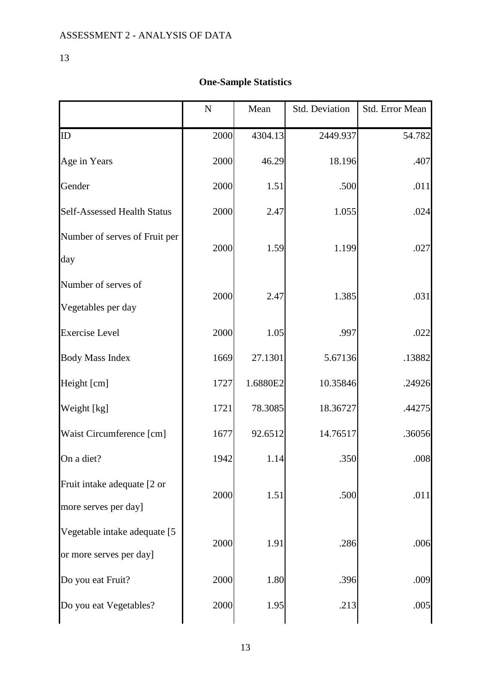# **One-Sample Statistics**

|                                                          | ${\bf N}$ | Mean     | Std. Deviation | Std. Error Mean |
|----------------------------------------------------------|-----------|----------|----------------|-----------------|
| ID                                                       | 2000      | 4304.13  | 2449.937       | 54.782          |
| Age in Years                                             | 2000      | 46.29    | 18.196         | .407            |
| Gender                                                   | 2000      | 1.51     | .500           | .011            |
| <b>Self-Assessed Health Status</b>                       | 2000      | 2.47     | 1.055          | .024            |
| Number of serves of Fruit per<br>day                     | 2000      | 1.59     | 1.199          | .027            |
| Number of serves of<br>Vegetables per day                | 2000      | 2.47     | 1.385          | .031            |
| <b>Exercise</b> Level                                    | 2000      | 1.05     | .997           | .022            |
| <b>Body Mass Index</b>                                   | 1669      | 27.1301  | 5.67136        | .13882          |
| Height [cm]                                              | 1727      | 1.6880E2 | 10.35846       | .24926          |
| Weight [kg]                                              | 1721      | 78.3085  | 18.36727       | .44275          |
| Waist Circumference [cm]                                 | 1677      | 92.6512  | 14.76517       | .36056          |
| On a diet?                                               | 1942      | 1.14     | .350           | .008            |
| Fruit intake adequate [2 or<br>more serves per day]      | 2000      | 1.51     | .500           | .011            |
| Vegetable intake adequate [5]<br>or more serves per day] | 2000      | 1.91     | .286           | .006            |
| Do you eat Fruit?                                        | 2000      | 1.80     | .396           | .009            |
| Do you eat Vegetables?                                   | 2000      | 1.95     | .213           | .005            |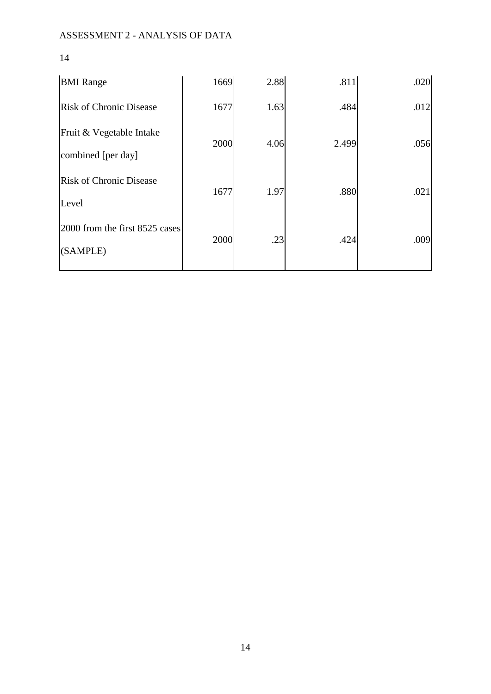| <b>BMI</b> Range                               | 1669 | 2.88 | .811  | .020 |
|------------------------------------------------|------|------|-------|------|
| <b>Risk of Chronic Disease</b>                 | 1677 | 1.63 | .484  | .012 |
| Fruit & Vegetable Intake<br>combined [per day] | 2000 | 4.06 | 2.499 | .056 |
| <b>Risk of Chronic Disease</b><br>Level        | 1677 | 1.97 | .880  | .021 |
| 2000 from the first 8525 cases<br>(SAMPLE)     | 2000 | .23  | .424  | .009 |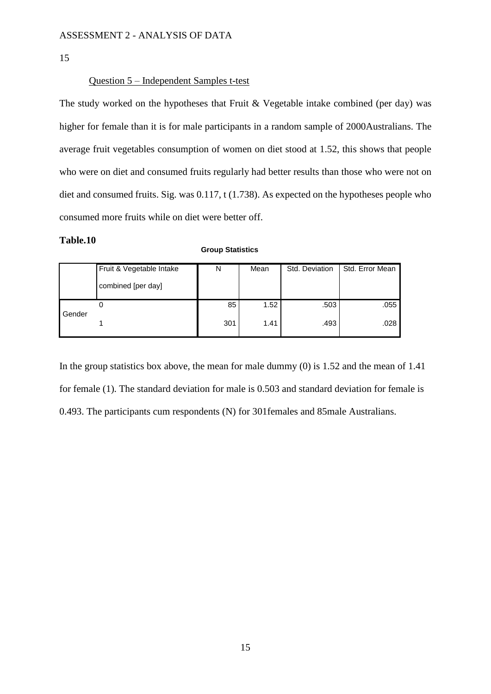## Question 5 – Independent Samples t-test

The study worked on the hypotheses that Fruit & Vegetable intake combined (per day) was higher for female than it is for male participants in a random sample of 2000Australians. The average fruit vegetables consumption of women on diet stood at 1.52, this shows that people who were on diet and consumed fruits regularly had better results than those who were not on diet and consumed fruits. Sig. was 0.117, t (1.738). As expected on the hypotheses people who consumed more fruits while on diet were better off.

# **Table.10**

#### **Group Statistics**

|        | Fruit & Vegetable Intake | N   | Mean | Std. Deviation | Std. Error Mean |  |
|--------|--------------------------|-----|------|----------------|-----------------|--|
|        | combined [per day]       |     |      |                |                 |  |
| Gender |                          | 85  | 1.52 | .503           | .055            |  |
|        |                          | 301 | 1.41 | .493           | .028            |  |

In the group statistics box above, the mean for male dummy (0) is 1.52 and the mean of 1.41 for female (1). The standard deviation for male is 0.503 and standard deviation for female is 0.493. The participants cum respondents (N) for 301females and 85male Australians.